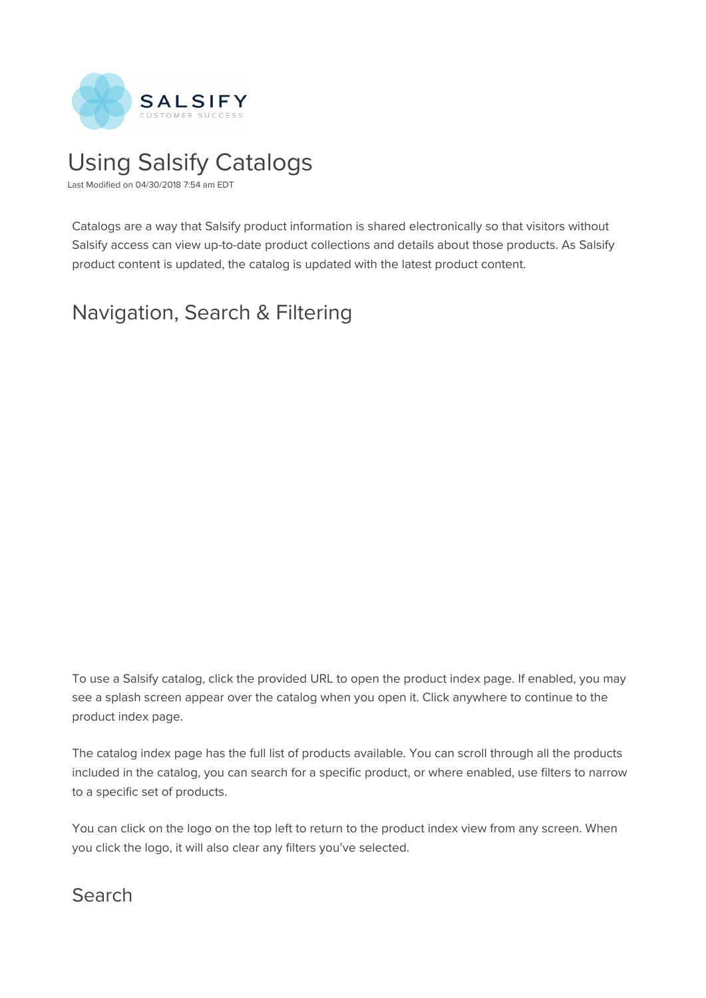

# Using Salsify Catalogs

Last Modified on 04/30/2018 7:54 am EDT

Catalogs are a way that Salsify product information is shared electronically so that visitors without Salsify access can view up-to-date product collections and details about those products. As Salsify product content is updated, the catalog is updated with the latest product content.

# Navigation, Search & Filtering

To use a Salsify catalog, click the provided URL to open the product index page. If enabled, you may see a splash screen appear over the catalog when you open it. Click anywhere to continue to the product index page.

The catalog index page has the full list of products available. You can scroll through all the products included in the catalog, you can search for a specific product, or where enabled, use filters to narrow to a specific set of products.

You can click on the logo on the top left to return to the product index view from any screen. When you click the logo, it will also clear any filters you've selected.

#### Search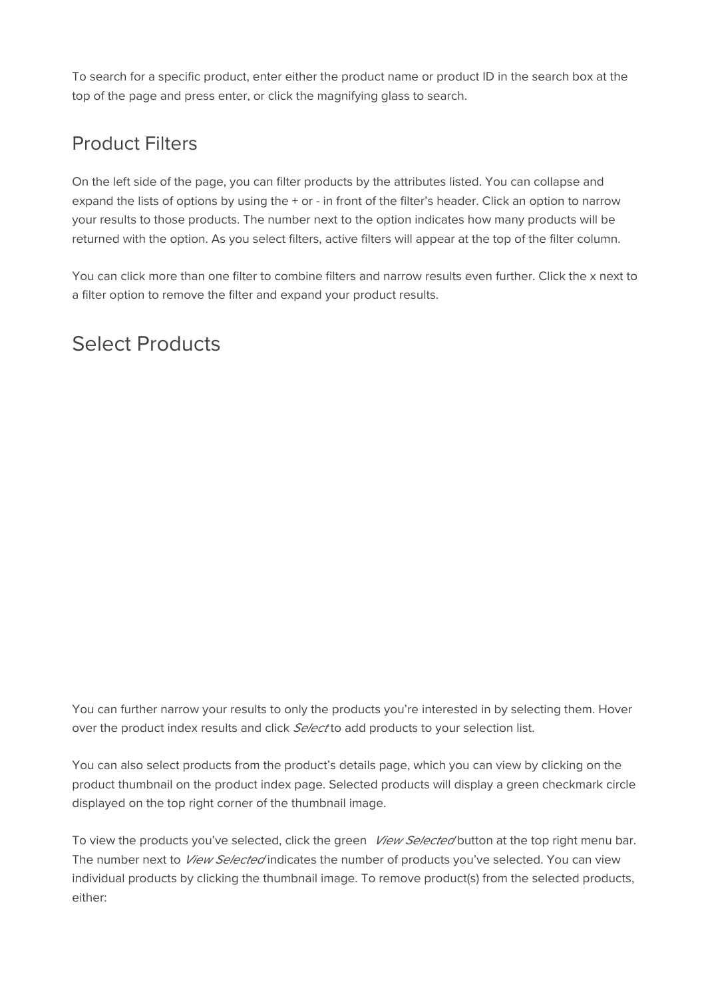To search for a specific product, enter either the product name or product ID in the search box at the top of the page and press enter, or click the magnifying glass to search.

#### Product Filters

On the left side of the page, you can filter products by the attributes listed. You can collapse and expand the lists of options by using the + or - in front of the filter's header. Click an option to narrow your results to those products. The number next to the option indicates how many products will be returned with the option. As you select filters, active filters will appear at the top of the filter column.

You can click more than one filter to combine filters and narrow results even further. Click the x next to a filter option to remove the filter and expand your product results.

### Select Products

You can further narrow your results to only the products you're interested in by selecting them. Hover over the product index results and click Select to add products to your selection list.

You can also select products from the product's details page, which you can view by clicking on the product thumbnail on the product index page. Selected products will display a green checkmark circle displayed on the top right corner of the thumbnail image.

To view the products you've selected, click the green *View Selected* button at the top right menu bar. The number next to View Selected indicates the number of products you've selected. You can view individual products by clicking the thumbnail image. To remove product(s) from the selected products, either: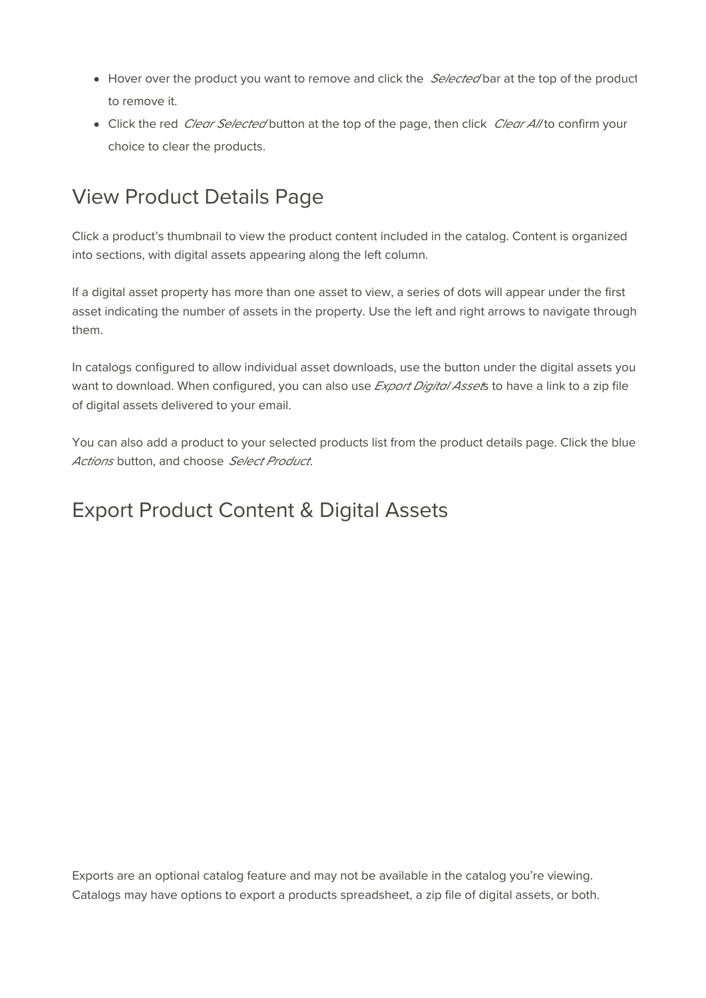- $\bullet$  Hover over the product you want to remove and click the *Selected* bar at the top of the product to remove it.
- Click the red *Clear Selected* button at the top of the page, then click *Clear All* to confirm your choice to clear the products.

### View Product Details Page

Click a product's thumbnail to view the product content included in the catalog. Content is organized into sections, with digital assets appearing along the left column.

If a digital asset property has more than one asset to view, a series of dots will appear under the first asset indicating the number of assets in the property. Use the left and right arrows to navigate through them.

In catalogs configured to allow individual asset downloads, use the button under the digital assets you want to download. When configured, you can also use *Export Digital Asset*s to have a link to a zip file of digital assets delivered to your email.

You can also add a product to your selected products list from the product details page. Click the blue Actions button, and choose Select Product.

#### Export Product Content & Digital Assets

Exports are an optional catalog feature and may not be available in the catalog you're viewing. Catalogs may have options to export a products spreadsheet, a zip file of digital assets, or both.